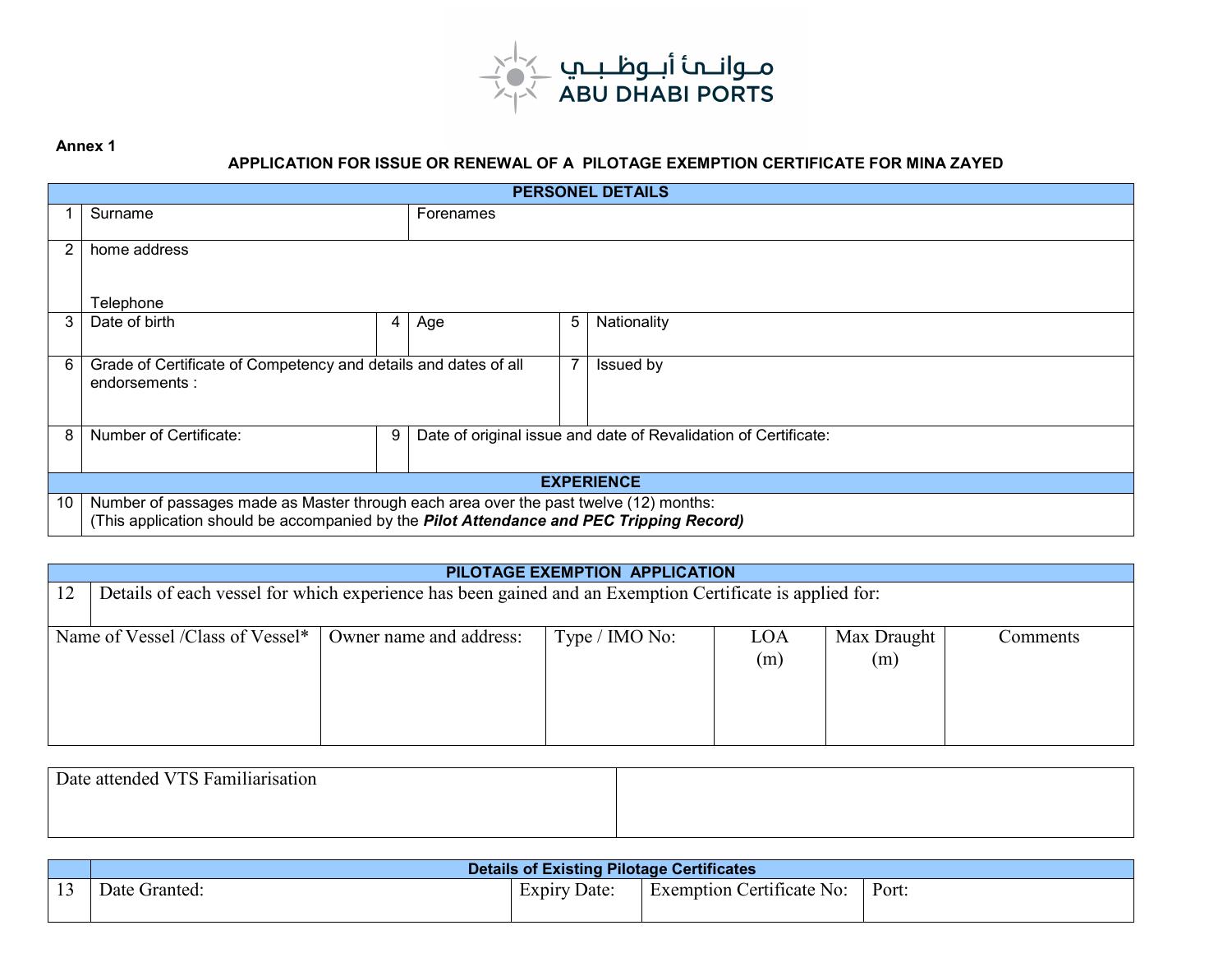

## **APPLICATION FOR ISSUE OR RENEWAL OF A PILOTAGE EXEMPTION CERTIFICATE FOR MINA ZAYED**

**Annex 1** 

| <b>PERSONEL DETAILS</b> |                                                                                                                                                                                   |   |                                                                 |   |             |  |
|-------------------------|-----------------------------------------------------------------------------------------------------------------------------------------------------------------------------------|---|-----------------------------------------------------------------|---|-------------|--|
|                         | Surname                                                                                                                                                                           |   | Forenames                                                       |   |             |  |
| 2                       | home address                                                                                                                                                                      |   |                                                                 |   |             |  |
|                         | Telephone                                                                                                                                                                         |   |                                                                 |   |             |  |
| 3                       | Date of birth                                                                                                                                                                     | 4 | Age                                                             | 5 | Nationality |  |
| 6                       | Grade of Certificate of Competency and details and dates of all<br>endorsements:                                                                                                  |   |                                                                 | 7 | Issued by   |  |
| 8                       | Number of Certificate:                                                                                                                                                            | 9 | Date of original issue and date of Revalidation of Certificate: |   |             |  |
| <b>EXPERIENCE</b>       |                                                                                                                                                                                   |   |                                                                 |   |             |  |
| 10                      | Number of passages made as Master through each area over the past twelve (12) months:<br>(This application should be accompanied by the Pilot Attendance and PEC Tripping Record) |   |                                                                 |   |             |  |

| PILOTAGE EXEMPTION APPLICATION |                                                                                                          |                         |                |            |                    |          |
|--------------------------------|----------------------------------------------------------------------------------------------------------|-------------------------|----------------|------------|--------------------|----------|
| 12                             | Details of each vessel for which experience has been gained and an Exemption Certificate is applied for: |                         |                |            |                    |          |
|                                | Name of Vessel /Class of Vessel*                                                                         | Owner name and address: | Type / IMO No: | LOA<br>(m) | Max Draught<br>(m) | Comments |

| Date attended VTS Familiarisation |  |
|-----------------------------------|--|
|                                   |  |
|                                   |  |

|                | <b>Details of Existing Pilotage Certificates</b> |                 |                           |       |  |  |
|----------------|--------------------------------------------------|-----------------|---------------------------|-------|--|--|
| 1 <sub>2</sub> | Granted:<br>Date                                 | Date:<br>Expiry | Exemption Certificate No: | Port. |  |  |